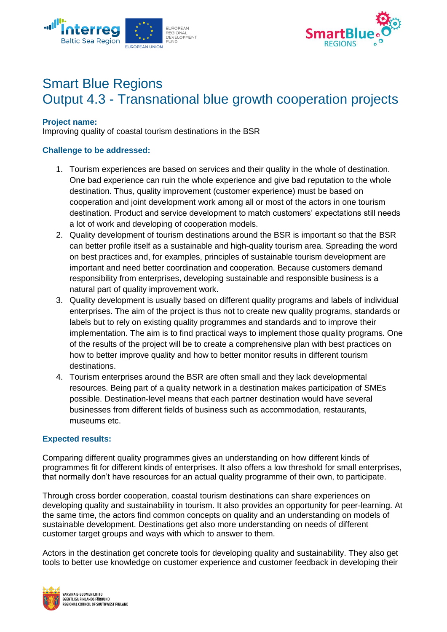



# Smart Blue Regions Output 4.3 - Transnational blue growth cooperation projects

### **Project name:**

Improving quality of coastal tourism destinations in the BSR

## **Challenge to be addressed:**

- 1. Tourism experiences are based on services and their quality in the whole of destination. One bad experience can ruin the whole experience and give bad reputation to the whole destination. Thus, quality improvement (customer experience) must be based on cooperation and joint development work among all or most of the actors in one tourism destination. Product and service development to match customers' expectations still needs a lot of work and developing of cooperation models.
- 2. Quality development of tourism destinations around the BSR is important so that the BSR can better profile itself as a sustainable and high-quality tourism area. Spreading the word on best practices and, for examples, principles of sustainable tourism development are important and need better coordination and cooperation. Because customers demand responsibility from enterprises, developing sustainable and responsible business is a natural part of quality improvement work.
- 3. Quality development is usually based on different quality programs and labels of individual enterprises. The aim of the project is thus not to create new quality programs, standards or labels but to rely on existing quality programmes and standards and to improve their implementation. The aim is to find practical ways to implement those quality programs. One of the results of the project will be to create a comprehensive plan with best practices on how to better improve quality and how to better monitor results in different tourism destinations.
- 4. Tourism enterprises around the BSR are often small and they lack developmental resources. Being part of a quality network in a destination makes participation of SMEs possible. Destination-level means that each partner destination would have several businesses from different fields of business such as accommodation, restaurants, museums etc.

#### **Expected results:**

Comparing different quality programmes gives an understanding on how different kinds of programmes fit for different kinds of enterprises. It also offers a low threshold for small enterprises, that normally don't have resources for an actual quality programme of their own, to participate.

Through cross border cooperation, coastal tourism destinations can share experiences on developing quality and sustainability in tourism. It also provides an opportunity for peer-learning. At the same time, the actors find common concepts on quality and an understanding on models of sustainable development. Destinations get also more understanding on needs of different customer target groups and ways with which to answer to them.

Actors in the destination get concrete tools for developing quality and sustainability. They also get tools to better use knowledge on customer experience and customer feedback in developing their

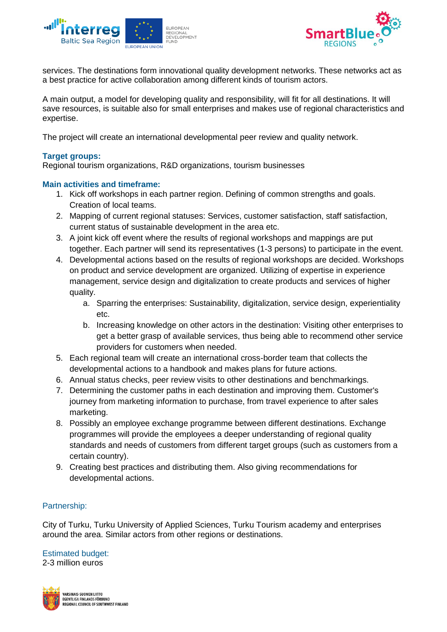



services. The destinations form innovational quality development networks. These networks act as a best practice for active collaboration among different kinds of tourism actors.

A main output, a model for developing quality and responsibility, will fit for all destinations. It will save resources, is suitable also for small enterprises and makes use of regional characteristics and expertise.

The project will create an international developmental peer review and quality network.

# **Target groups:**

Regional tourism organizations, R&D organizations, tourism businesses

#### **Main activities and timeframe:**

- 1. Kick off workshops in each partner region. Defining of common strengths and goals. Creation of local teams.
- 2. Mapping of current regional statuses: Services, customer satisfaction, staff satisfaction, current status of sustainable development in the area etc.
- 3. A joint kick off event where the results of regional workshops and mappings are put together. Each partner will send its representatives (1-3 persons) to participate in the event.
- 4. Developmental actions based on the results of regional workshops are decided. Workshops on product and service development are organized. Utilizing of expertise in experience management, service design and digitalization to create products and services of higher quality.
	- a. Sparring the enterprises: Sustainability, digitalization, service design, experientiality  $Ar$
	- b. Increasing knowledge on other actors in the destination: Visiting other enterprises to get a better grasp of available services, thus being able to recommend other service providers for customers when needed.
- 5. Each regional team will create an international cross-border team that collects the developmental actions to a handbook and makes plans for future actions.
- 6. Annual status checks, peer review visits to other destinations and benchmarkings.
- 7. Determining the customer paths in each destination and improving them. Customer's journey from marketing information to purchase, from travel experience to after sales marketing.
- 8. Possibly an employee exchange programme between different destinations. Exchange programmes will provide the employees a deeper understanding of regional quality standards and needs of customers from different target groups (such as customers from a certain country).
- 9. Creating best practices and distributing them. Also giving recommendations for developmental actions.

## Partnership:

City of Turku, Turku University of Applied Sciences, Turku Tourism academy and enterprises around the area. Similar actors from other regions or destinations.

Estimated budget:

2-3 million euros